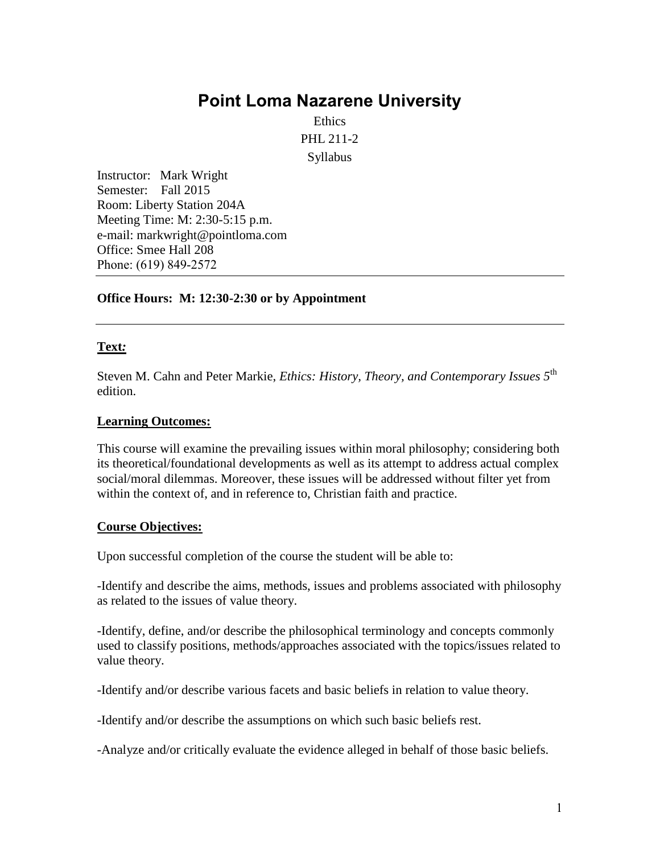# **Point Loma [Nazarene](http://www.pointloma.edu/) University**

Ethics PHL 211-2 Syllabus

Instructor: Mark Wright Semester: Fall 2015 Room: Liberty Station 204A Meeting Time: M: 2:30-5:15 p.m. e-mail: markwright@pointloma.com Office: Smee Hall 208 Phone: (619) 849-2572

#### **Office Hours: M: 12:30-2:30 or by Appointment**

#### **Text***:*

Steven M. Cahn and Peter Markie, *Ethics: History, Theory, and Contemporary Issues 5*th edition.

#### **Learning Outcomes:**

This course will examine the prevailing issues within moral philosophy; considering both its theoretical/foundational developments as well as its attempt to address actual complex social/moral dilemmas. Moreover, these issues will be addressed without filter yet from within the context of, and in reference to, Christian faith and practice.

#### **Course Objectives:**

Upon successful completion of the course the student will be able to:

-Identify and describe the aims, methods, issues and problems associated with philosophy as related to the issues of value theory.

-Identify, define, and/or describe the philosophical terminology and concepts commonly used to classify positions, methods/approaches associated with the topics/issues related to value theory.

-Identify and/or describe various facets and basic beliefs in relation to value theory.

-Identify and/or describe the assumptions on which such basic beliefs rest.

-Analyze and/or critically evaluate the evidence alleged in behalf of those basic beliefs.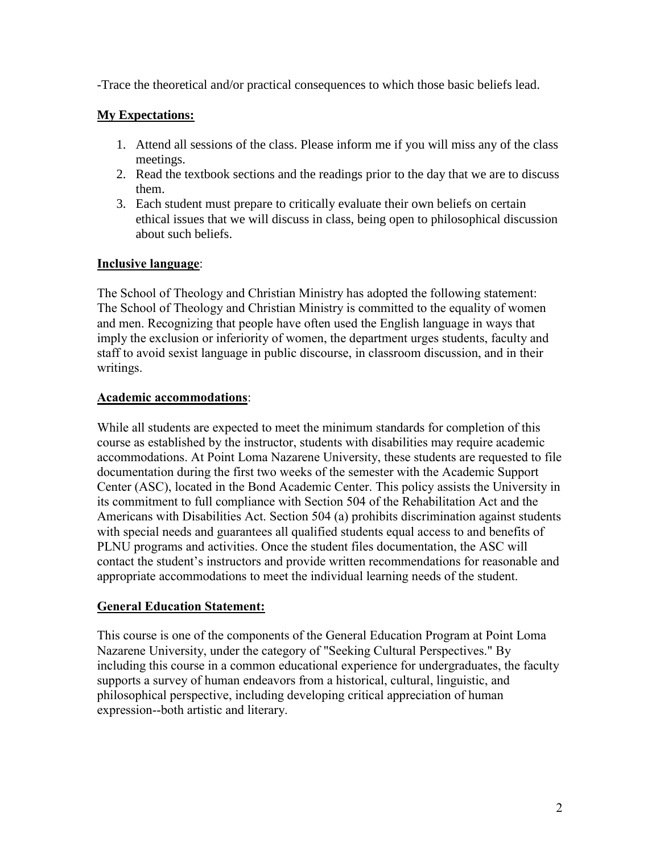-Trace the theoretical and/or practical consequences to which those basic beliefs lead.

# **My Expectations:**

- 1. Attend all sessions of the class. Please inform me if you will miss any of the class meetings.
- 2. Read the textbook sections and the readings prior to the day that we are to discuss them.
- 3. Each student must prepare to critically evaluate their own beliefs on certain ethical issues that we will discuss in class, being open to philosophical discussion about such beliefs.

# **Inclusive language**:

The School of Theology and Christian Ministry has adopted the following statement: The School of Theology and Christian Ministry is committed to the equality of women and men. Recognizing that people have often used the English language in ways that imply the exclusion or inferiority of women, the department urges students, faculty and staff to avoid sexist language in public discourse, in classroom discussion, and in their writings.

## **Academic accommodations**:

While all students are expected to meet the minimum standards for completion of this course as established by the instructor, students with disabilities may require academic accommodations. At Point Loma Nazarene University, these students are requested to file documentation during the first two weeks of the semester with the Academic Support Center (ASC), located in the Bond Academic Center. This policy assists the University in its commitment to full compliance with Section 504 of the Rehabilitation Act and the Americans with Disabilities Act. Section 504 (a) prohibits discrimination against students with special needs and guarantees all qualified students equal access to and benefits of PLNU programs and activities. Once the student files documentation, the ASC will contact the student's instructors and provide written recommendations for reasonable and appropriate accommodations to meet the individual learning needs of the student.

## **General Education Statement:**

This course is one of the components of the General Education Program at Point Loma Nazarene University, under the category of "Seeking Cultural Perspectives." By including this course in a common educational experience for undergraduates, the faculty supports a survey of human endeavors from a historical, cultural, linguistic, and philosophical perspective, including developing critical appreciation of human expression--both artistic and literary.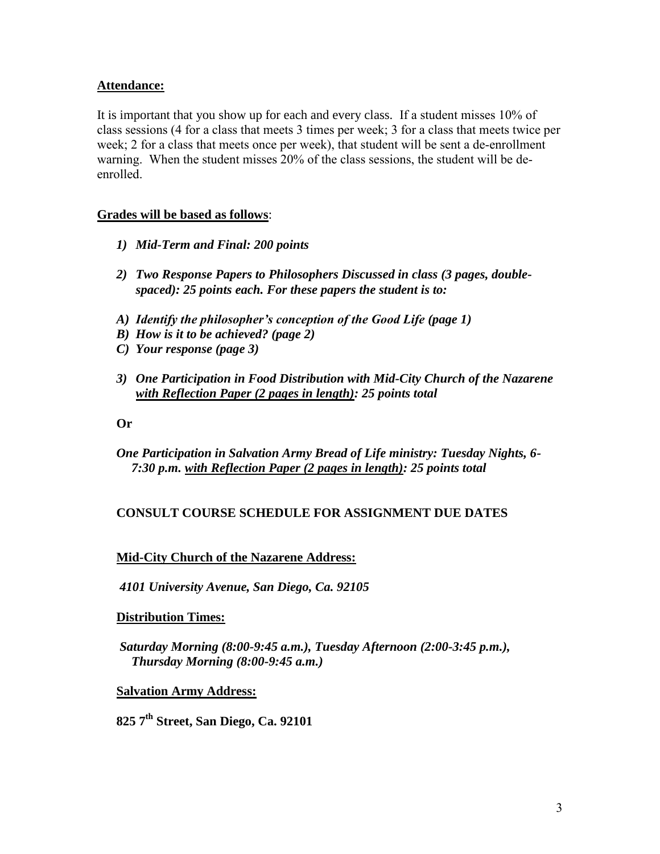## **Attendance:**

It is important that you show up for each and every class. If a student misses 10% of class sessions (4 for a class that meets 3 times per week; 3 for a class that meets twice per week; 2 for a class that meets once per week), that student will be sent a de-enrollment warning. When the student misses 20% of the class sessions, the student will be deenrolled.

## **Grades will be based as follows**:

- *1) Mid-Term and Final: 200 points*
- *2) Two Response Papers to Philosophers Discussed in class (3 pages, doublespaced): 25 points each. For these papers the student is to:*
- *A) Identify the philosopher's conception of the Good Life (page 1)*
- *B) How is it to be achieved? (page 2)*
- *C) Your response (page 3)*
- *3) One Participation in Food Distribution with Mid-City Church of the Nazarene with Reflection Paper (2 pages in length): 25 points total*

**Or** 

*One Participation in Salvation Army Bread of Life ministry: Tuesday Nights, 6- 7:30 p.m. with Reflection Paper (2 pages in length): 25 points total* 

## **CONSULT COURSE SCHEDULE FOR ASSIGNMENT DUE DATES**

### **Mid-City Church of the Nazarene Address:**

*4101 University Avenue, San Diego, Ca. 92105*

### **Distribution Times:**

*Saturday Morning (8:00-9:45 a.m.), Tuesday Afternoon (2:00-3:45 p.m.), Thursday Morning (8:00-9:45 a.m.)* 

### **Salvation Army Address:**

**825 7th Street, San Diego, Ca. 92101**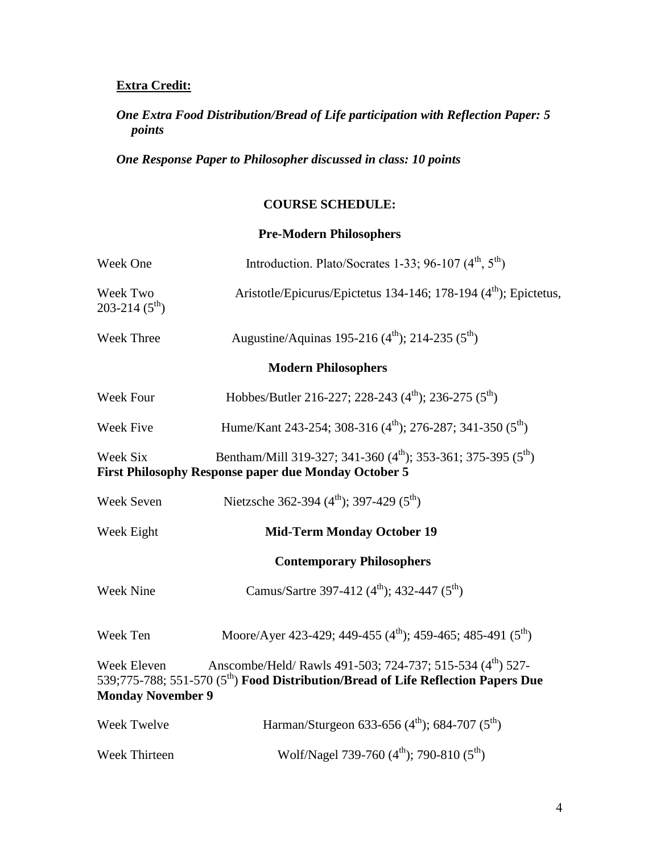# **Extra Credit:**

# *One Extra Food Distribution/Bread of Life participation with Reflection Paper: 5 points*

*One Response Paper to Philosopher discussed in class: 10 points* 

# **COURSE SCHEDULE:**

# **Pre-Modern Philosophers**

| Week One                                | Introduction. Plato/Socrates 1-33; 96-107 $(4^{th}, 5^{th})$                                                                                               |
|-----------------------------------------|------------------------------------------------------------------------------------------------------------------------------------------------------------|
| Week Two<br>203-214 $(5^{th})$          | Aristotle/Epicurus/Epictetus 134-146; 178-194 (4 <sup>th</sup> ); Epictetus,                                                                               |
| Week Three                              | Augustine/Aquinas 195-216 (4 <sup>th</sup> ); 214-235 (5 <sup>th</sup> )                                                                                   |
|                                         | <b>Modern Philosophers</b>                                                                                                                                 |
| Week Four                               | Hobbes/Butler 216-227; 228-243 (4 <sup>th</sup> ); 236-275 (5 <sup>th</sup> )                                                                              |
| Week Five                               | Hume/Kant 243-254; 308-316 (4 <sup>th</sup> ); 276-287; 341-350 (5 <sup>th</sup> )                                                                         |
| Week Six                                | Bentham/Mill 319-327; 341-360 (4 <sup>th</sup> ); 353-361; 375-395 (5 <sup>th</sup> )<br><b>First Philosophy Response paper due Monday October 5</b>       |
| Week Seven                              | Nietzsche 362-394 (4 <sup>th</sup> ); 397-429 (5 <sup>th</sup> )                                                                                           |
| Week Eight                              | <b>Mid-Term Monday October 19</b>                                                                                                                          |
|                                         | <b>Contemporary Philosophers</b>                                                                                                                           |
| <b>Week Nine</b>                        | Camus/Sartre 397-412 (4 <sup>th</sup> ); 432-447 (5 <sup>th</sup> )                                                                                        |
| Week Ten                                | Moore/Ayer 423-429; 449-455 (4 <sup>th</sup> ); 459-465; 485-491 (5 <sup>th</sup> )                                                                        |
| Week Eleven<br><b>Monday November 9</b> | Anscombe/Held/ Rawls 491-503; 724-737; 515-534 (4th) 527-<br>539;775-788; 551-570 (5 <sup>th</sup> ) Food Distribution/Bread of Life Reflection Papers Due |
| Week Twelve                             | Harman/Sturgeon 633-656 (4 <sup>th</sup> ); 684-707 (5 <sup>th</sup> )                                                                                     |
| Week Thirteen                           | Wolf/Nagel 739-760 $(4^{\text{th}})$ ; 790-810 $(5^{\text{th}})$                                                                                           |